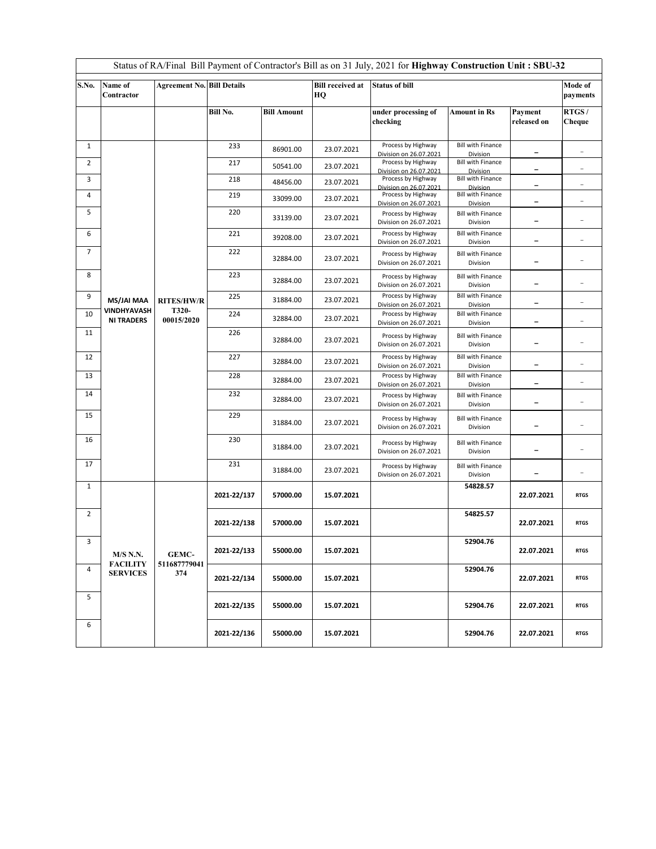| Status of RA/Final Bill Payment of Contractor's Bill as on 31 July, 2021 for Highway Construction Unit: SBU-32 |                                                       |                                          |             |                    |                               |                                              |                                      |                          |                          |  |  |
|----------------------------------------------------------------------------------------------------------------|-------------------------------------------------------|------------------------------------------|-------------|--------------------|-------------------------------|----------------------------------------------|--------------------------------------|--------------------------|--------------------------|--|--|
| S.No.                                                                                                          | Name of<br>Contractor                                 | <b>Agreement No. Bill Details</b>        |             |                    | <b>Bill received at</b><br>HQ | <b>Status of bill</b>                        |                                      |                          | Mode of<br>payments      |  |  |
|                                                                                                                |                                                       |                                          | Bill No.    | <b>Bill Amount</b> |                               | under processing of<br>checking              | <b>Amount in Rs</b>                  | Payment<br>released on   | RTGS/<br>Cheque          |  |  |
| $\mathbf{1}$                                                                                                   |                                                       | <b>RITES/HW/R</b><br>T320-<br>00015/2020 | 233         | 86901.00           | 23.07.2021                    | Process by Highway<br>Division on 26.07.2021 | <b>Bill with Finance</b><br>Division | $\qquad \qquad -$        |                          |  |  |
| $\overline{2}$                                                                                                 |                                                       |                                          | 217         | 50541.00           | 23.07.2021                    | Process by Highway<br>Division on 26.07.2021 | <b>Bill with Finance</b><br>Division | $\overline{\phantom{0}}$ |                          |  |  |
| 3                                                                                                              |                                                       |                                          | 218         | 48456.00           | 23.07.2021                    | Process by Highway<br>Division on 26,07,2021 | <b>Bill with Finance</b><br>Division | -                        | $\overline{\phantom{a}}$ |  |  |
| 4                                                                                                              |                                                       |                                          | 219         | 33099.00           | 23.07.2021                    | Process by Highway<br>Division on 26.07.2021 | <b>Bill with Finance</b><br>Division | $\overline{\phantom{0}}$ | $\overline{a}$           |  |  |
| 5                                                                                                              |                                                       |                                          | 220         | 33139.00           | 23.07.2021                    | Process by Highway<br>Division on 26.07.2021 | <b>Bill with Finance</b><br>Division | -                        |                          |  |  |
| 6                                                                                                              |                                                       |                                          | 221         | 39208.00           | 23.07.2021                    | Process by Highway<br>Division on 26.07.2021 | <b>Bill with Finance</b><br>Division |                          |                          |  |  |
| $\overline{7}$                                                                                                 |                                                       |                                          | 222         | 32884.00           | 23.07.2021                    | Process by Highway<br>Division on 26.07.2021 | <b>Bill with Finance</b><br>Division |                          |                          |  |  |
| 8                                                                                                              |                                                       |                                          | 223         | 32884.00           | 23.07.2021                    | Process by Highway<br>Division on 26.07.2021 | <b>Bill with Finance</b><br>Division | $\qquad \qquad -$        |                          |  |  |
| 9                                                                                                              | <b>MS/JAI MAA</b>                                     |                                          | 225         | 31884.00           | 23.07.2021                    | Process by Highway<br>Division on 26.07.2021 | <b>Bill with Finance</b><br>Division |                          |                          |  |  |
| 10                                                                                                             | VINDHYAVASH<br><b>NI TRADERS</b>                      |                                          | 224         | 32884.00           | 23.07.2021                    | Process by Highway<br>Division on 26.07.2021 | <b>Bill with Finance</b><br>Division | $\overline{\phantom{0}}$ | $\overline{a}$           |  |  |
| 11                                                                                                             |                                                       |                                          | 226         | 32884.00           | 23.07.2021                    | Process by Highway<br>Division on 26.07.2021 | <b>Bill with Finance</b><br>Division |                          |                          |  |  |
| 12                                                                                                             |                                                       |                                          | 227         | 32884.00           | 23.07.2021                    | Process by Highway<br>Division on 26.07.2021 | <b>Bill with Finance</b><br>Division | -                        |                          |  |  |
| 13                                                                                                             |                                                       |                                          | 228         | 32884.00           | 23.07.2021                    | Process by Highway<br>Division on 26.07.2021 | <b>Bill with Finance</b><br>Division | $\overline{\phantom{0}}$ |                          |  |  |
| 14                                                                                                             |                                                       |                                          | 232         | 32884.00           | 23.07.2021                    | Process by Highway<br>Division on 26.07.2021 | <b>Bill with Finance</b><br>Division | -                        |                          |  |  |
| 15                                                                                                             |                                                       |                                          | 229         | 31884.00           | 23.07.2021                    | Process by Highway<br>Division on 26.07.2021 | <b>Bill with Finance</b><br>Division |                          |                          |  |  |
| 16                                                                                                             |                                                       |                                          | 230         | 31884.00           | 23.07.2021                    | Process by Highway<br>Division on 26.07.2021 | <b>Bill with Finance</b><br>Division | $\overline{\phantom{0}}$ |                          |  |  |
| 17                                                                                                             |                                                       |                                          | 231         | 31884.00           | 23.07.2021                    | Process by Highway<br>Division on 26.07.2021 | <b>Bill with Finance</b><br>Division |                          | $\overline{a}$           |  |  |
| $\mathbf{1}$                                                                                                   | <b>M/S N.N.</b><br><b>FACILITY</b><br><b>SERVICES</b> | <b>GEMC-</b><br>511687779041<br>374      | 2021-22/137 | 57000.00           | 15.07.2021                    |                                              | 54828.57                             | 22.07.2021               | <b>RTGS</b>              |  |  |
| $\overline{2}$                                                                                                 |                                                       |                                          | 2021-22/138 | 57000.00           | 15.07.2021                    |                                              | 54825.57                             | 22.07.2021               | <b>RTGS</b>              |  |  |
| 3                                                                                                              |                                                       |                                          | 2021-22/133 | 55000.00           | 15.07.2021                    |                                              | 52904.76                             | 22.07.2021               | <b>RTGS</b>              |  |  |
| $\overline{4}$                                                                                                 |                                                       |                                          | 2021-22/134 | 55000.00           | 15.07.2021                    |                                              | 52904.76                             | 22.07.2021               | <b>RTGS</b>              |  |  |
| 5                                                                                                              |                                                       |                                          | 2021-22/135 | 55000.00           | 15.07.2021                    |                                              | 52904.76                             | 22.07.2021               | <b>RTGS</b>              |  |  |
| 6                                                                                                              |                                                       |                                          | 2021-22/136 | 55000.00           | 15.07.2021                    |                                              | 52904.76                             | 22.07.2021               | <b>RTGS</b>              |  |  |